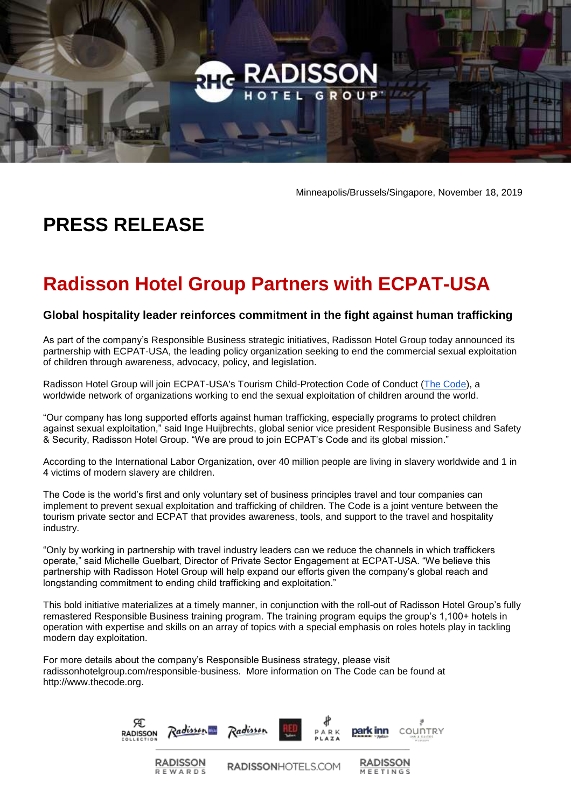

Minneapolis/Brussels/Singapore, November 18, 2019

## **PRESS RELEASE**

## **Radisson Hotel Group Partners with ECPAT-USA**

## **Global hospitality leader reinforces commitment in the fight against human trafficking**

As part of the company's Responsible Business strategic initiatives, Radisson Hotel Group today announced its partnership with ECPAT-USA, the leading policy organization seeking to end the commercial sexual exploitation of children through awareness, advocacy, policy, and legislation.

Radisson Hotel Group will join ECPAT-USA's Tourism Child-Protection Code of Conduct [\(The Code\)](https://www.ecpatusa.org/code), a worldwide network of organizations working to end the sexual exploitation of children around the world.

"Our company has long supported efforts against human trafficking, especially programs to protect children against sexual exploitation," said Inge Huijbrechts, global senior vice president Responsible Business and Safety & Security, Radisson Hotel Group. "We are proud to join ECPAT's Code and its global mission."

According to the International Labor Organization, over 40 million people are living in slavery worldwide and 1 in 4 victims of modern slavery are children.

The Code is the world's first and only voluntary set of business principles travel and tour companies can implement to prevent sexual exploitation and trafficking of children. The Code is a joint venture between the tourism private sector and ECPAT that provides awareness, tools, and support to the travel and hospitality industry.

"Only by working in partnership with travel industry leaders can we reduce the channels in which traffickers operate," said Michelle Guelbart, Director of Private Sector Engagement at ECPAT-USA. "We believe this partnership with Radisson Hotel Group will help expand our efforts given the company's global reach and longstanding commitment to ending child trafficking and exploitation."

This bold initiative materializes at a timely manner, in conjunction with the roll-out of Radisson Hotel Group's fully remastered Responsible Business training program. The training program equips the group's 1,100+ hotels in operation with expertise and skills on an array of topics with a special emphasis on roles hotels play in tackling modern day exploitation.

For more details about the company's Responsible Business strategy, please visit radissonhotelgroup.com/responsible-business. More information on The Code can be found at [http://www.thecode.org.](http://www.thecode.org/)